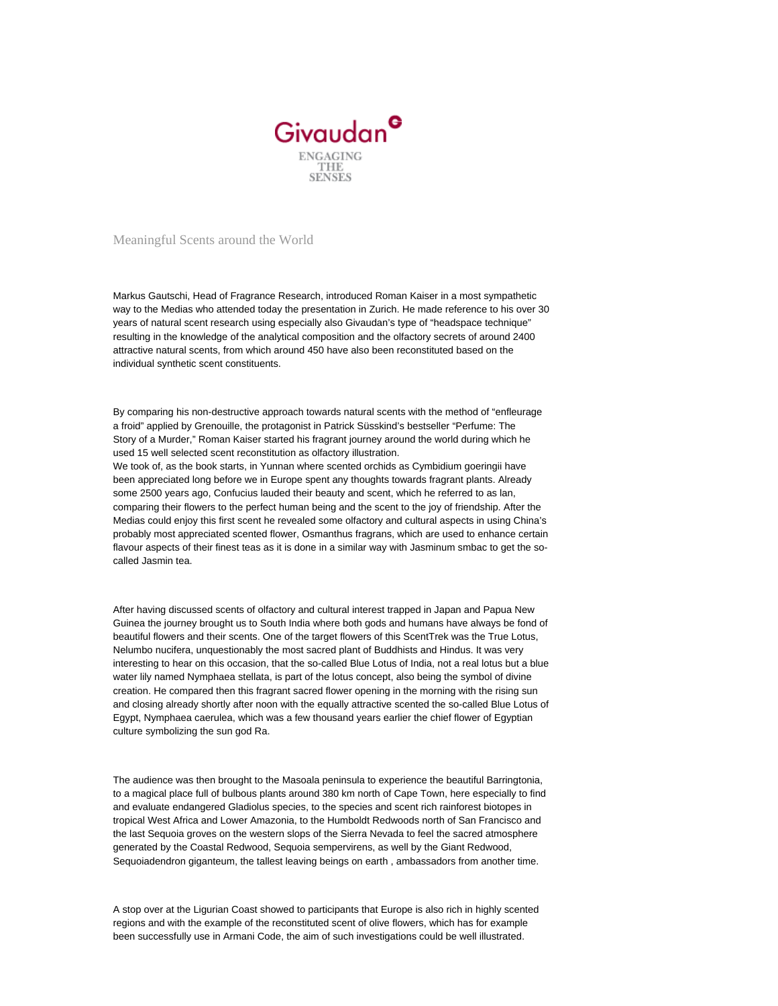

Meaningful Scents around the World

Markus Gautschi, Head of Fragrance Research, introduced Roman Kaiser in a most sympathetic way to the Medias who attended today the presentation in Zurich. He made reference to his over 30 years of natural scent research using especially also Givaudan's type of "headspace technique" resulting in the knowledge of the analytical composition and the olfactory secrets of around 2400 attractive natural scents, from which around 450 have also been reconstituted based on the individual synthetic scent constituents.

By comparing his non-destructive approach towards natural scents with the method of "enfleurage a froid" applied by Grenouille, the protagonist in Patrick Süsskind's bestseller "Perfume: The Story of a Murder," Roman Kaiser started his fragrant journey around the world during which he used 15 well selected scent reconstitution as olfactory illustration.

We took of, as the book starts, in Yunnan where scented orchids as Cymbidium goeringii have been appreciated long before we in Europe spent any thoughts towards fragrant plants. Already some 2500 years ago, Confucius lauded their beauty and scent, which he referred to as lan, comparing their flowers to the perfect human being and the scent to the joy of friendship. After the Medias could enjoy this first scent he revealed some olfactory and cultural aspects in using China's probably most appreciated scented flower, Osmanthus fragrans, which are used to enhance certain flavour aspects of their finest teas as it is done in a similar way with Jasminum smbac to get the socalled Jasmin tea.

After having discussed scents of olfactory and cultural interest trapped in Japan and Papua New Guinea the journey brought us to South India where both gods and humans have always be fond of beautiful flowers and their scents. One of the target flowers of this ScentTrek was the True Lotus, Nelumbo nucifera, unquestionably the most sacred plant of Buddhists and Hindus. It was very interesting to hear on this occasion, that the so-called Blue Lotus of India, not a real lotus but a blue water lily named Nymphaea stellata, is part of the lotus concept, also being the symbol of divine creation. He compared then this fragrant sacred flower opening in the morning with the rising sun and closing already shortly after noon with the equally attractive scented the so-called Blue Lotus of Egypt, Nymphaea caerulea, which was a few thousand years earlier the chief flower of Egyptian culture symbolizing the sun god Ra.

The audience was then brought to the Masoala peninsula to experience the beautiful Barringtonia, to a magical place full of bulbous plants around 380 km north of Cape Town, here especially to find and evaluate endangered Gladiolus species, to the species and scent rich rainforest biotopes in tropical West Africa and Lower Amazonia, to the Humboldt Redwoods north of San Francisco and the last Sequoia groves on the western slops of the Sierra Nevada to feel the sacred atmosphere generated by the Coastal Redwood, Sequoia sempervirens, as well by the Giant Redwood, Sequoiadendron giganteum, the tallest leaving beings on earth , ambassadors from another time.

A stop over at the Ligurian Coast showed to participants that Europe is also rich in highly scented regions and with the example of the reconstituted scent of olive flowers, which has for example been successfully use in Armani Code, the aim of such investigations could be well illustrated.